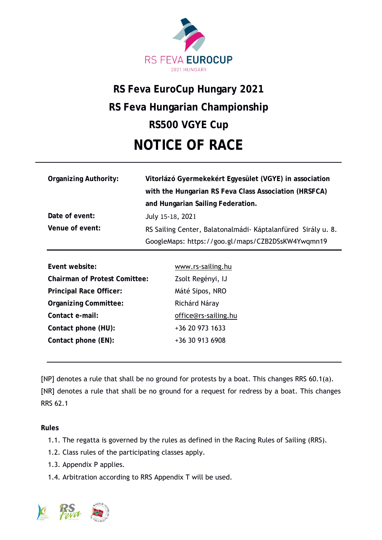

# **RS Feva EuroCup Hungary 2021 RS Feva Hungarian Championship RS500 VGYE Cup NOTICE OF RACE**

| <b>Organizing Authority:</b> | Vitorlázó Gyermekekért Egyesület (VGYE) in association        |
|------------------------------|---------------------------------------------------------------|
|                              | with the Hungarian RS Feva Class Association (HRSFCA)         |
|                              | and Hungarian Sailing Federation.                             |
| Date of event:               | July 15-18, 2021                                              |
| Venue of event:              | RS Sailing Center, Balatonalmádi - Káptalanfüred Sirály u. 8. |
|                              | GoogleMaps: https://goo.gl/maps/CZB2DSsKW4Ywqmn19             |

| Event website:                       | www.rs-sailing.hu    |
|--------------------------------------|----------------------|
| <b>Chairman of Protest Comittee:</b> | Zsolt Regényi, IJ    |
| <b>Principal Race Officer:</b>       | Máté Sipos, NRO      |
| <b>Organizing Committee:</b>         | Richárd Náray        |
| Contact e-mail:                      | office@rs-sailing.hu |
| Contact phone (HU):                  | +36 20 973 1633      |
| Contact phone (EN):                  | +36 30 913 6908      |
|                                      |                      |

[NP] denotes a rule that shall be no ground for protests by a boat. This changes RRS 60.1(a). [NR] denotes a rule that shall be no ground for a request for redress by a boat. This changes RRS 62.1

**Rules** 

- 1.1. The regatta is governed by the rules as defined in the Racing Rules of Sailing (RRS).
- 1.2. Class rules of the participating classes apply.
- 1.3. Appendix P applies.
- 1.4. Arbitration according to RRS Appendix T will be used.

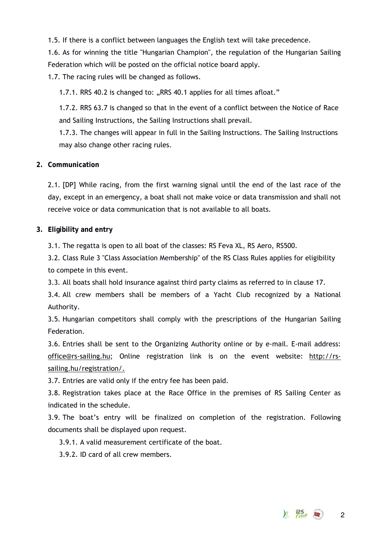1.5. If there is a conflict between languages the English text will take precedence.

1.6. As for winning the title "Hungarian Champion", the regulation of the Hungarian Sailing Federation which will be posted on the official notice board apply.

1.7. The racing rules will be changed as follows.

1.7.1. RRS 40.2 is changed to: "RRS 40.1 applies for all times afloat."

1.7.2. RRS 63.7 is changed so that in the event of a conflict between the Notice of Race and Sailing Instructions, the Sailing Instructions shall prevail.

1.7.3. The changes will appear in full in the Sailing Instructions. The Sailing Instructions may also change other racing rules.

# **2. Communication**

2.1. [DP] While racing, from the first warning signal until the end of the last race of the day, except in an emergency, a boat shall not make voice or data transmission and shall not receive voice or data communication that is not available to all boats.

## **3. Eligibility and entry**

3.1. The regatta is open to all boat of the classes: RS Feva XL, RS Aero, RS500.

3.2. Class Rule 3 "Class Association Membership" of the RS Class Rules applies for eligibility to compete in this event.

3.3. All boats shall hold insurance against third party claims as referred to in clause 17.

3.4. All crew members shall be members of a Yacht Club recognized by a National Authority.

3.5. Hungarian competitors shall comply with the prescriptions of the Hungarian Sailing Federation.

3.6. Entries shall be sent to the Organizing Authority online or by e-mail. E-mail address: office@rs-sailing.hu; Online registration link is on the event website: http://rssailing.hu/registration/.

3.7. Entries are valid only if the entry fee has been paid.

3.8. Registration takes place at the Race Office in the premises of RS Sailing Center as indicated in the schedule.

3.9. The boat's entry will be finalized on completion of the registration. Following documents shall be displayed upon request.

3.9.1. A valid measurement certificate of the boat.

3.9.2. ID card of all crew members.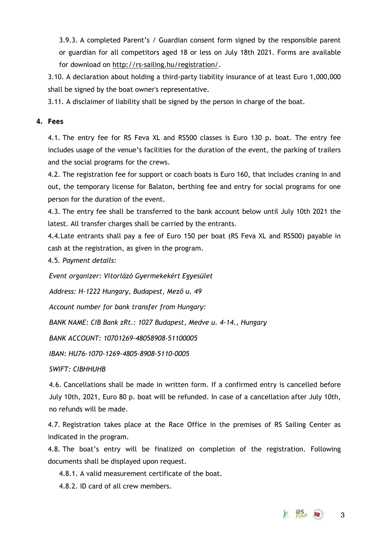3.9.3. A completed Parent's / Guardian consent form signed by the responsible parent or guardian for all competitors aged 18 or less on July 18th 2021. Forms are available for download on http://rs-sailing.hu/registration/.

3.10. A declaration about holding a third-party liability insurance of at least Euro 1,000,000 shall be signed by the boat owner's representative.

3.11. A disclaimer of liability shall be signed by the person in charge of the boat.

# **4. Fees**

4.1. The entry fee for RS Feva XL and RS500 classes is Euro 130 p. boat. The entry fee includes usage of the venue's facilities for the duration of the event, the parking of trailers and the social programs for the crews.

4.2. The registration fee for support or coach boats is Euro 160, that includes craning in and out, the temporary license for Balaton, berthing fee and entry for social programs for one person for the duration of the event.

4.3. The entry fee shall be transferred to the bank account below until July 10th 2021 the latest. All transfer charges shall be carried by the entrants.

4.4.Late entrants shall pay a fee of Euro 150 per boat (RS Feva XL and RS500) payable in cash at the registration, as given in the program.

4.5. *Payment details:*

*Event organizer: Vitorlázó Gyermekekért Egyesület*

*Address: H-1222 Hungary, Budapest, Mező u. 49*

*Account number for bank transfer from Hungary:*

*BANK NAME: CIB Bank zRt.: 1027 Budapest, Medve u. 4-14., Hungary*

*BANK ACCOUNT: 10701269-48058908-51100005*

*IBAN: HU76-1070-1269-4805-8908-5110-0005*

*SWIFT: CIBHHUHB*

4.6. Cancellations shall be made in written form. If a confirmed entry is cancelled before July 10th, 2021, Euro 80 p. boat will be refunded. In case of a cancellation after July 10th, no refunds will be made.

4.7. Registration takes place at the Race Office in the premises of RS Sailing Center as indicated in the program.

4.8. The boat's entry will be finalized on completion of the registration. Following documents shall be displayed upon request.

4.8.1. A valid measurement certificate of the boat.

4.8.2. ID card of all crew members.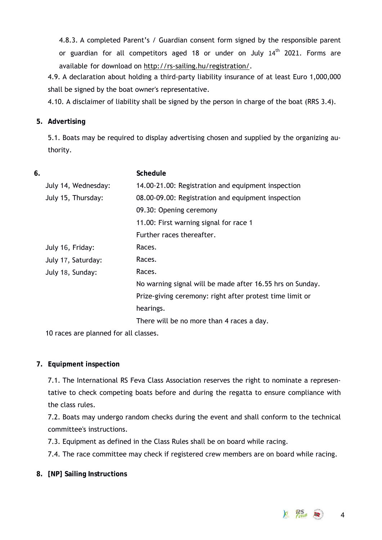4.8.3. A completed Parent's / Guardian consent form signed by the responsible parent or guardian for all competitors aged 18 or under on July  $14<sup>th</sup>$  2021. Forms are available for download on http://rs-sailing.hu/registration/.

4.9. A declaration about holding a third-party liability insurance of at least Euro 1,000,000 shall be signed by the boat owner's representative.

4.10. A disclaimer of liability shall be signed by the person in charge of the boat (RRS 3.4).

# **5. Advertising**

5.1. Boats may be required to display advertising chosen and supplied by the organizing authority.

| <b>Schedule</b>                                           |
|-----------------------------------------------------------|
| 14.00-21.00: Registration and equipment inspection        |
| 08.00-09.00: Registration and equipment inspection        |
| 09.30: Opening ceremony                                   |
| 11.00: First warning signal for race 1                    |
| Further races thereafter.                                 |
| Races.                                                    |
| Races.                                                    |
| Races.                                                    |
| No warning signal will be made after 16.55 hrs on Sunday. |
| Prize-giving ceremony: right after protest time limit or  |
| hearings.                                                 |
| There will be no more than 4 races a day.                 |
|                                                           |

10 races are planned for all classes.

# **7. Equipment inspection**

7.1. The International RS Feva Class Association reserves the right to nominate a representative to check competing boats before and during the regatta to ensure compliance with the class rules.

7.2. Boats may undergo random checks during the event and shall conform to the technical committee's instructions.

7.3. Equipment as defined in the Class Rules shall be on board while racing.

7.4. The race committee may check if registered crew members are on board while racing.

**8. [NP] Sailing Instructions**

 $4 \frac{PS}{1000}$  2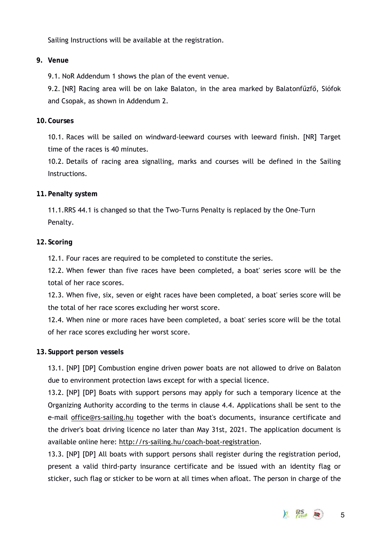Sailing Instructions will be available at the registration.

## **9. Venue**

9.1. NoR Addendum 1 shows the plan of the event venue.

9.2. [NR] Racing area will be on lake Balaton, in the area marked by Balatonfűzfő, Siófok and Csopak, as shown in Addendum 2.

## **10.Courses**

10.1. Races will be sailed on windward-leeward courses with leeward finish. [NR] Target time of the races is 40 minutes.

10.2. Details of racing area signalling, marks and courses will be defined in the Sailing Instructions.

## **11.Penalty system**

11.1.RRS 44.1 is changed so that the Two-Turns Penalty is replaced by the One-Turn Penalty.

## **12.Scoring**

12.1. Four races are required to be completed to constitute the series.

12.2. When fewer than five races have been completed, a boat' series score will be the total of her race scores.

12.3. When five, six, seven or eight races have been completed, a boat' series score will be the total of her race scores excluding her worst score.

12.4. When nine or more races have been completed, a boat' series score will be the total of her race scores excluding her worst score.

#### **13.Support person vessels**

13.1. [NP] [DP] Combustion engine driven power boats are not allowed to drive on Balaton due to environment protection laws except for with a special licence.

13.2. [NP] [DP] Boats with support persons may apply for such a temporary licence at the Organizing Authority according to the terms in clause 4.4. Applications shall be sent to the e-mail office@rs-sailing.hu together with the boat's documents, insurance certificate and the driver's boat driving licence no later than May 31st, 2021. The application document is available online here: http://rs-sailing.hu/coach-boat-registration.

13.3. [NP] [DP] All boats with support persons shall register during the registration period, present a valid third-party insurance certificate and be issued with an identity flag or sticker, such flag or sticker to be worn at all times when afloat. The person in charge of the

5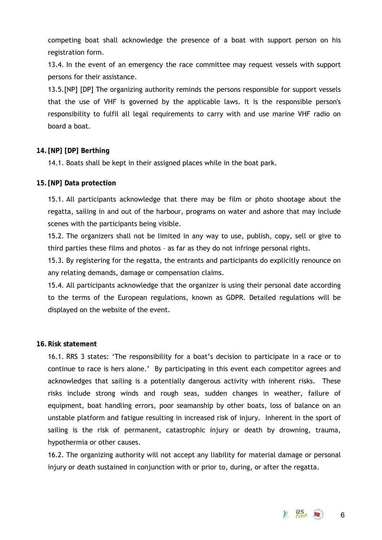competing boat shall acknowledge the presence of a boat with support person on his registration form.

13.4. In the event of an emergency the race committee may request vessels with support persons for their assistance.

13.5.[NP] [DP] The organizing authority reminds the persons responsible for support vessels that the use of VHF is governed by the applicable laws. It is the responsible person's responsibility to fulfil all legal requirements to carry with and use marine VHF radio on board a boat.

## **14. [NP] [DP] Berthing**

14.1. Boats shall be kept in their assigned places while in the boat park.

## **15.[NP] Data protection**

15.1. All participants acknowledge that there may be film or photo shootage about the regatta, sailing in and out of the harbour, programs on water and ashore that may include scenes with the participants being visible.

15.2. The organizers shall not be limited in any way to use, publish, copy, sell or give to third parties these films and photos – as far as they do not infringe personal rights.

15.3. By registering for the regatta, the entrants and participants do explicitly renounce on any relating demands, damage or compensation claims.

15.4. All participants acknowledge that the organizer is using their personal date according to the terms of the European regulations, known as GDPR. Detailed regulations will be displayed on the website of the event.

## **16.Risk statement**

16.1. RRS 3 states: 'The responsibility for a boat's decision to participate in a race or to continue to race is hers alone.' By participating in this event each competitor agrees and acknowledges that sailing is a potentially dangerous activity with inherent risks. These risks include strong winds and rough seas, sudden changes in weather, failure of equipment, boat handling errors, poor seamanship by other boats, loss of balance on an unstable platform and fatigue resulting in increased risk of injury. Inherent in the sport of sailing is the risk of permanent, catastrophic injury or death by drowning, trauma, hypothermia or other causes.

16.2. The organizing authority will not accept any liability for material damage or personal injury or death sustained in conjunction with or prior to, during, or after the regatta.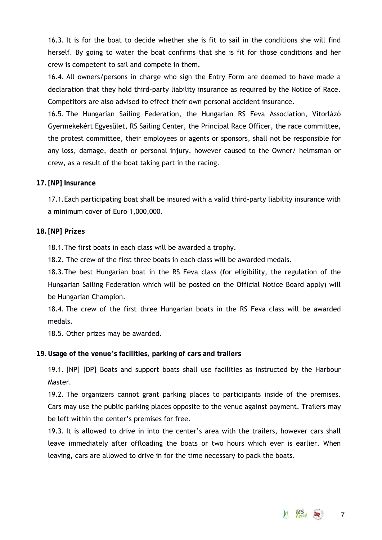16.3. It is for the boat to decide whether she is fit to sail in the conditions she will find herself. By going to water the boat confirms that she is fit for those conditions and her crew is competent to sail and compete in them.

16.4. All owners/persons in charge who sign the Entry Form are deemed to have made a declaration that they hold third-party liability insurance as required by the Notice of Race. Competitors are also advised to effect their own personal accident insurance.

16.5. The Hungarian Sailing Federation, the Hungarian RS Feva Association, Vitorlázó Gyermekekért Egyesület, RS Sailing Center, the Principal Race Officer, the race committee, the protest committee, their employees or agents or sponsors, shall not be responsible for any loss, damage, death or personal injury, however caused to the Owner/ helmsman or crew, as a result of the boat taking part in the racing.

## **17. [NP] Insurance**

17.1.Each participating boat shall be insured with a valid third-party liability insurance with a minimum cover of Euro 1,000,000.

# **18. [NP] Prizes**

18.1.The first boats in each class will be awarded a trophy.

18.2. The crew of the first three boats in each class will be awarded medals.

18.3.The best Hungarian boat in the RS Feva class (for eligibility, the regulation of the Hungarian Sailing Federation which will be posted on the Official Notice Board apply) will be Hungarian Champion.

18.4. The crew of the first three Hungarian boats in the RS Feva class will be awarded medals.

18.5. Other prizes may be awarded.

# **19.Usage of the venue's facilities, parking of cars and trailers**

19.1. [NP] [DP] Boats and support boats shall use facilities as instructed by the Harbour Master.

19.2. The organizers cannot grant parking places to participants inside of the premises. Cars may use the public parking places opposite to the venue against payment. Trailers may be left within the center's premises for free.

19.3. It is allowed to drive in into the center's area with the trailers, however cars shall leave immediately after offloading the boats or two hours which ever is earlier. When leaving, cars are allowed to drive in for the time necessary to pack the boats.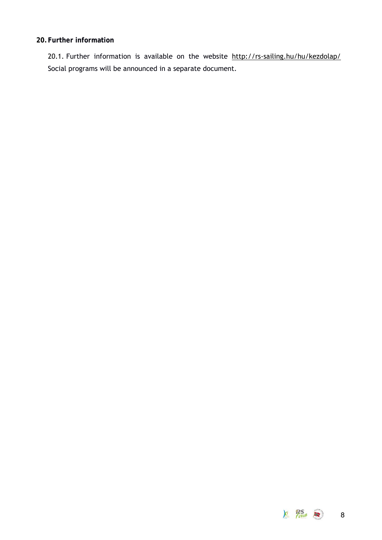# **20.Further information**

20.1. Further information is available on the website http://rs-sailing.hu/hu/kezdolap/ Social programs will be announced in a separate document.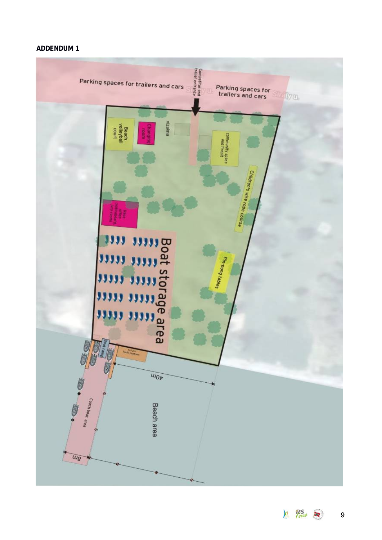# **ADDENDUM 1**



 $\mathcal{F}$  Peva  $\mathcal{F}$